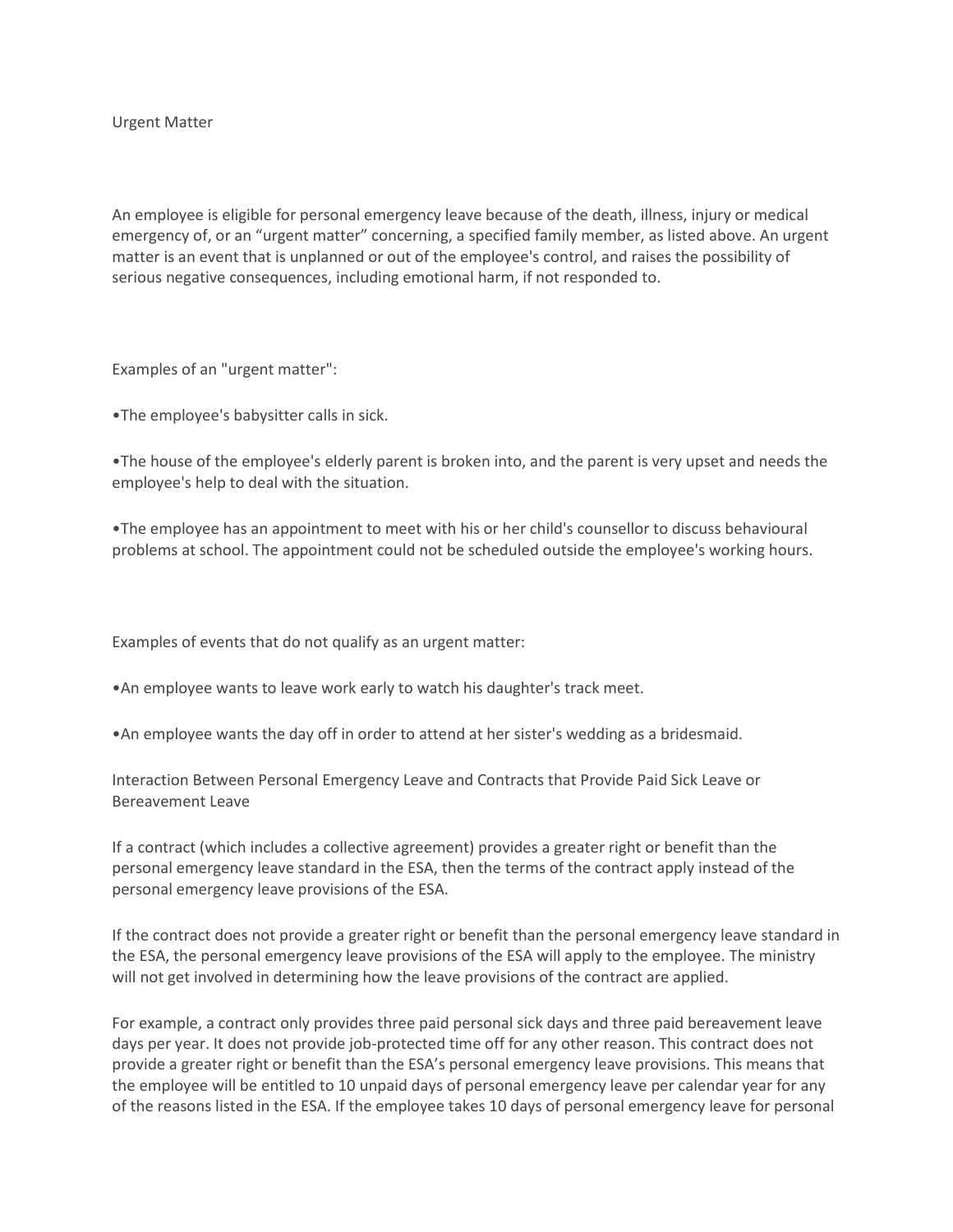Urgent Matter

An employee is eligible for personal emergency leave because of the death, illness, injury or medical emergency of, or an "urgent matter" concerning, a specified family member, as listed above. An urgent matter is an event that is unplanned or out of the employee's control, and raises the possibility of serious negative consequences, including emotional harm, if not responded to.

Examples of an "urgent matter":

•The employee's babysitter calls in sick.

•The house of the employee's elderly parent is broken into, and the parent is very upset and needs the employee's help to deal with the situation.

•The employee has an appointment to meet with his or her child's counsellor to discuss behavioural problems at school. The appointment could not be scheduled outside the employee's working hours.

Examples of events that do not qualify as an urgent matter:

•An employee wants to leave work early to watch his daughter's track meet.

•An employee wants the day off in order to attend at her sister's wedding as a bridesmaid.

Interaction Between Personal Emergency Leave and Contracts that Provide Paid Sick Leave or Bereavement Leave

If a contract (which includes a collective agreement) provides a greater right or benefit than the personal emergency leave standard in the ESA, then the terms of the contract apply instead of the personal emergency leave provisions of the ESA.

If the contract does not provide a greater right or benefit than the personal emergency leave standard in the ESA, the personal emergency leave provisions of the ESA will apply to the employee. The ministry will not get involved in determining how the leave provisions of the contract are applied.

For example, a contract only provides three paid personal sick days and three paid bereavement leave days per year. It does not provide job-protected time off for any other reason. This contract does not provide a greater right or benefit than the ESA's personal emergency leave provisions. This means that the employee will be entitled to 10 unpaid days of personal emergency leave per calendar year for any of the reasons listed in the ESA. If the employee takes 10 days of personal emergency leave for personal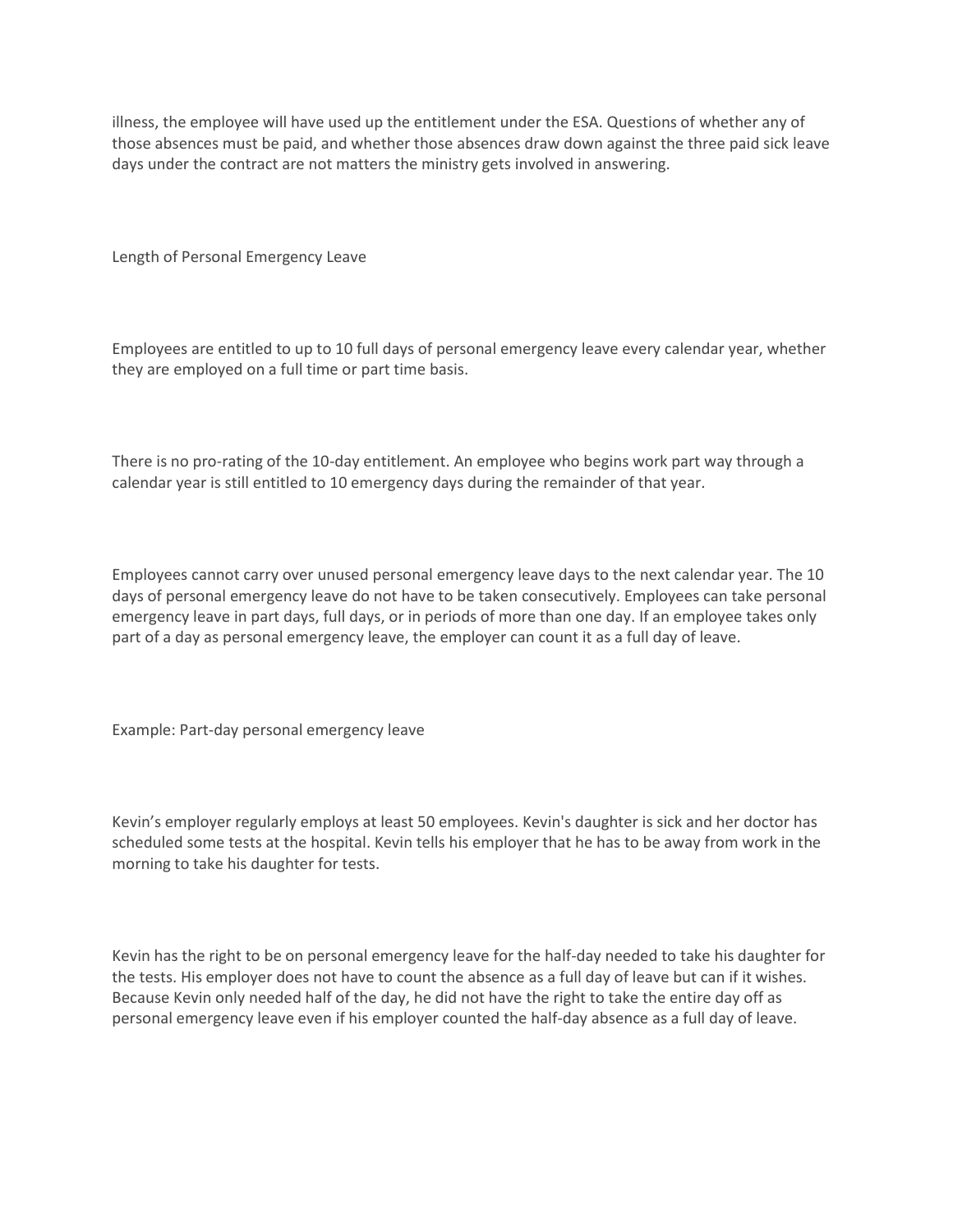illness, the employee will have used up the entitlement under the ESA. Questions of whether any of those absences must be paid, and whether those absences draw down against the three paid sick leave days under the contract are not matters the ministry gets involved in answering.

Length of Personal Emergency Leave

Employees are entitled to up to 10 full days of personal emergency leave every calendar year, whether they are employed on a full time or part time basis.

There is no pro-rating of the 10-day entitlement. An employee who begins work part way through a calendar year is still entitled to 10 emergency days during the remainder of that year.

Employees cannot carry over unused personal emergency leave days to the next calendar year. The 10 days of personal emergency leave do not have to be taken consecutively. Employees can take personal emergency leave in part days, full days, or in periods of more than one day. If an employee takes only part of a day as personal emergency leave, the employer can count it as a full day of leave.

Example: Part-day personal emergency leave

Kevin's employer regularly employs at least 50 employees. Kevin's daughter is sick and her doctor has scheduled some tests at the hospital. Kevin tells his employer that he has to be away from work in the morning to take his daughter for tests.

Kevin has the right to be on personal emergency leave for the half-day needed to take his daughter for the tests. His employer does not have to count the absence as a full day of leave but can if it wishes. Because Kevin only needed half of the day, he did not have the right to take the entire day off as personal emergency leave even if his employer counted the half-day absence as a full day of leave.